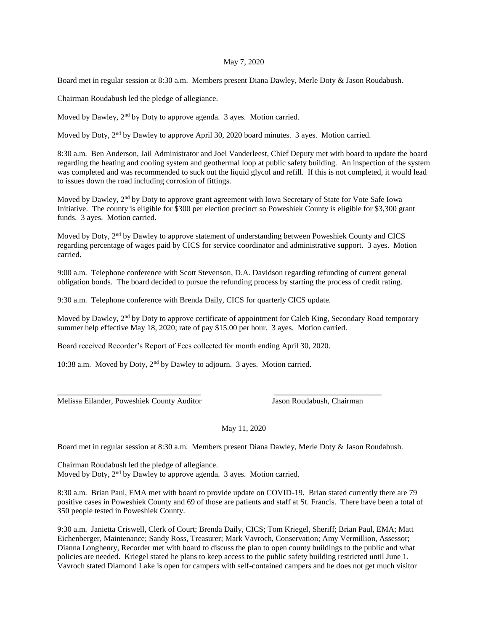## May 7, 2020

Board met in regular session at 8:30 a.m. Members present Diana Dawley, Merle Doty & Jason Roudabush.

Chairman Roudabush led the pledge of allegiance.

Moved by Dawley, 2<sup>nd</sup> by Doty to approve agenda. 3 ayes. Motion carried.

Moved by Doty, 2nd by Dawley to approve April 30, 2020 board minutes. 3 ayes. Motion carried.

8:30 a.m. Ben Anderson, Jail Administrator and Joel Vanderleest, Chief Deputy met with board to update the board regarding the heating and cooling system and geothermal loop at public safety building. An inspection of the system was completed and was recommended to suck out the liquid glycol and refill. If this is not completed, it would lead to issues down the road including corrosion of fittings.

Moved by Dawley, 2<sup>nd</sup> by Doty to approve grant agreement with Iowa Secretary of State for Vote Safe Iowa Initiative. The county is eligible for \$300 per election precinct so Poweshiek County is eligible for \$3,300 grant funds. 3 ayes. Motion carried.

Moved by Doty, 2nd by Dawley to approve statement of understanding between Poweshiek County and CICS regarding percentage of wages paid by CICS for service coordinator and administrative support. 3 ayes. Motion carried.

9:00 a.m. Telephone conference with Scott Stevenson, D.A. Davidson regarding refunding of current general obligation bonds. The board decided to pursue the refunding process by starting the process of credit rating.

9:30 a.m. Telephone conference with Brenda Daily, CICS for quarterly CICS update.

Moved by Dawley, 2<sup>nd</sup> by Doty to approve certificate of appointment for Caleb King, Secondary Road temporary summer help effective May 18, 2020; rate of pay \$15.00 per hour. 3 ayes. Motion carried.

Board received Recorder's Report of Fees collected for month ending April 30, 2020.

10:38 a.m. Moved by Doty, 2nd by Dawley to adjourn. 3 ayes. Motion carried.

Melissa Eilander, Poweshiek County Auditor Jason Roudabush, Chairman

May 11, 2020

Board met in regular session at 8:30 a.m. Members present Diana Dawley, Merle Doty & Jason Roudabush.

\_\_\_\_\_\_\_\_\_\_\_\_\_\_\_\_\_\_\_\_\_\_\_\_\_\_\_\_\_\_\_\_\_\_\_\_ \_\_\_\_\_\_\_\_\_\_\_\_\_\_\_\_\_\_\_\_\_\_\_\_\_\_\_

Chairman Roudabush led the pledge of allegiance. Moved by Doty, 2<sup>nd</sup> by Dawley to approve agenda. 3 ayes. Motion carried.

8:30 a.m. Brian Paul, EMA met with board to provide update on COVID-19. Brian stated currently there are 79 positive cases in Poweshiek County and 69 of those are patients and staff at St. Francis. There have been a total of 350 people tested in Poweshiek County.

9:30 a.m. Janietta Criswell, Clerk of Court; Brenda Daily, CICS; Tom Kriegel, Sheriff; Brian Paul, EMA; Matt Eichenberger, Maintenance; Sandy Ross, Treasurer; Mark Vavroch, Conservation; Amy Vermillion, Assessor; Dianna Longhenry, Recorder met with board to discuss the plan to open county buildings to the public and what policies are needed. Kriegel stated he plans to keep access to the public safety building restricted until June 1. Vavroch stated Diamond Lake is open for campers with self-contained campers and he does not get much visitor